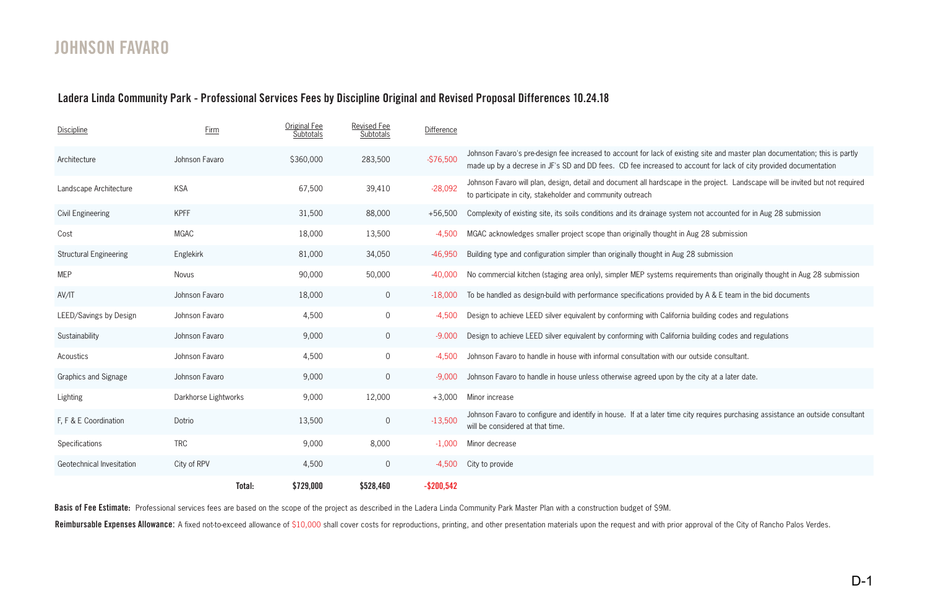## **JOHNSON FAVARO**

## **Ladera Linda Community Park - Professional Services Fees by Discipline Original and Revised Proposal Differences 10.24.18**

| <b>Discipline</b>             | <b>Firm</b>          | <b>Original Fee</b><br>Subtotals | <b>Revised Fee</b><br><b>Subtotals</b> | <b>Difference</b> |                                                                                                                                                                                                                                                  |
|-------------------------------|----------------------|----------------------------------|----------------------------------------|-------------------|--------------------------------------------------------------------------------------------------------------------------------------------------------------------------------------------------------------------------------------------------|
| Architecture                  | Johnson Favaro       | \$360,000                        | 283,500                                | $-576,500$        | Johnson Favaro's pre-design fee increased to account for lack of existing site and master plan documentation; this is partly<br>made up by a decrese in JF's SD and DD fees. CD fee increased to account for lack of city provided documentation |
| Landscape Architecture        | <b>KSA</b>           | 67,500                           | 39,410                                 | $-28,092$         | Johnson Favaro will plan, design, detail and document all hardscape in the project. Landscape will be invited but not required<br>to participate in city, stakeholder and community outreach                                                     |
| <b>Civil Engineering</b>      | <b>KPFF</b>          | 31,500                           | 88,000                                 | $+56,500$         | Complexity of existing site, its soils conditions and its drainage system not accounted for in Aug 28 submission                                                                                                                                 |
| Cost                          | <b>MGAC</b>          | 18,000                           | 13,500                                 | $-4,500$          | MGAC acknowledges smaller project scope than originally thought in Aug 28 submission                                                                                                                                                             |
| <b>Structural Engineering</b> | Englekirk            | 81,000                           | 34,050                                 | $-46,950$         | Building type and configuration simpler than originally thought in Aug 28 submission                                                                                                                                                             |
| <b>MEP</b>                    | Novus                | 90,000                           | 50,000                                 | $-40,000$         | No commercial kitchen (staging area only), simpler MEP systems requirements than originally thought in Aug 28 submission                                                                                                                         |
| AV/IT                         | Johnson Favaro       | 18,000                           | $\overline{0}$                         | $-18,000$         | To be handled as design-build with performance specifications provided by A & E team in the bid documents                                                                                                                                        |
| LEED/Savings by Design        | Johnson Favaro       | 4,500                            | $\overline{0}$                         | $-4,500$          | Design to achieve LEED silver equivalent by conforming with California building codes and regulations                                                                                                                                            |
| Sustainability                | Johnson Favaro       | 9,000                            | $\overline{0}$                         | $-9.000$          | Design to achieve LEED silver equivalent by conforming with California building codes and regulations                                                                                                                                            |
| Acoustics                     | Johnson Favaro       | 4,500                            | $\overline{0}$                         | $-4,500$          | Johnson Favaro to handle in house with informal consultation with our outside consultant.                                                                                                                                                        |
| Graphics and Signage          | Johnson Favaro       | 9,000                            | $\overline{0}$                         | $-9,000$          | Johnson Favaro to handle in house unless otherwise agreed upon by the city at a later date.                                                                                                                                                      |
| Lighting                      | Darkhorse Lightworks | 9,000                            | 12,000                                 | $+3,000$          | Minor increase                                                                                                                                                                                                                                   |
| F, F & E Coordination         | Dotrio               | 13,500                           | $\overline{0}$                         | $-13,500$         | Johnson Favaro to configure and identify in house. If at a later time city requires purchasing assistance an outside consultant<br>will be considered at that time.                                                                              |
| Specifications                | <b>TRC</b>           | 9,000                            | 8,000                                  | $-1,000$          | Minor decrease                                                                                                                                                                                                                                   |
| Geotechnical Invesitation     | City of RPV          | 4,500                            | $\overline{0}$                         | $-4,500$          | City to provide                                                                                                                                                                                                                                  |
|                               | Total:               | \$729,000                        | \$528,460                              | $-$200,542$       |                                                                                                                                                                                                                                                  |

Basis of Fee Estimate: Professional services fees are based on the scope of the project as described in the Ladera Linda Community Park Master Plan with a construction budget of \$9M. Reimbursable Expenses Allowance: A fixed not-to-exceed allowance of \$10,000 shall cover costs for reproductions, printing, and other presentation materials upon the request and with prior approval of the City of Rancho Pal

- 
- 
- stem not accounted for in Aug 28 submission
- t in Aug 28 submission
- 
- requirements than originally thought in Aug 28 submission
- vided by A & E team in the bid documents
- ornia building codes and regulations
- ornia building codes and regulations
- our outside consultant.
- by the city at a later date.